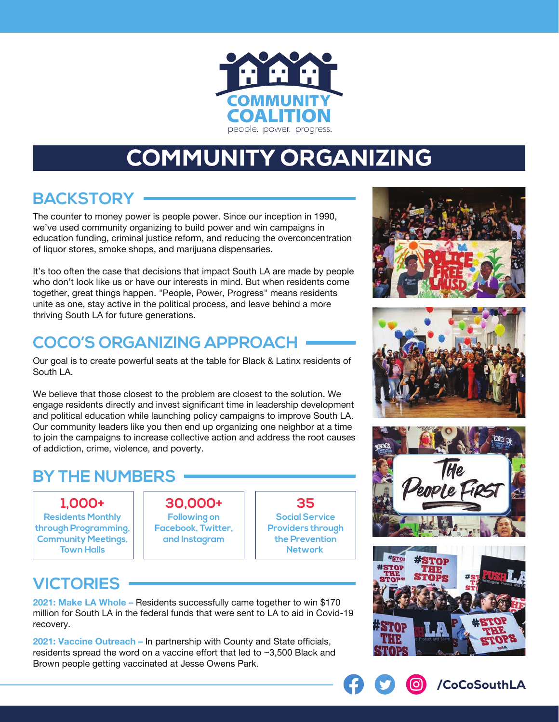

# COMMUNITY ORGANIZING

## **BACKSTORY**

The counter to money power is people power. Since our inception in 1990, we've used community organizing to build power and win campaigns in education funding, criminal justice reform, and reducing the overconcentration of liquor stores, smoke shops, and marijuana dispensaries.

It's too often the case that decisions that impact South LA are made by people who don't look like us or have our interests in mind. But when residents come together, great things happen. "People, Power, Progress" means residents unite as one, stay active in the political process, and leave behind a more thriving South LA for future generations.

## **COCO'S ORGANIZING APPROACH**

Our goal is to create powerful seats at the table for Black & Latinx residents of South LA.

We believe that those closest to the problem are closest to the solution. We engage residents directly and invest significant time in leadership development and political education while launching policy campaigns to improve South LA. Our community leaders like you then end up organizing one neighbor at a time to join the campaigns to increase collective action and address the root causes of addiction, crime, violence, and poverty.

## **BY THE NUMBERS**

### **1,000+**

**Residents Monthly through Programming, Community Meetings, Town Halls**

## **30,000+**

**Following on Facebook, Twitter, and Instagram**



## **VICTORIES**

**2021: Make LA Whole –** Residents successfully came together to win \$170 million for South LA in the federal funds that were sent to LA to aid in Covid-19 recovery.

**2021: Vaccine Outreach –** In partnership with County and State officials, residents spread the word on a vaccine effort that led to ~3,500 Black and Brown people getting vaccinated at Jesse Owens Park.









/CoCoSouthLA